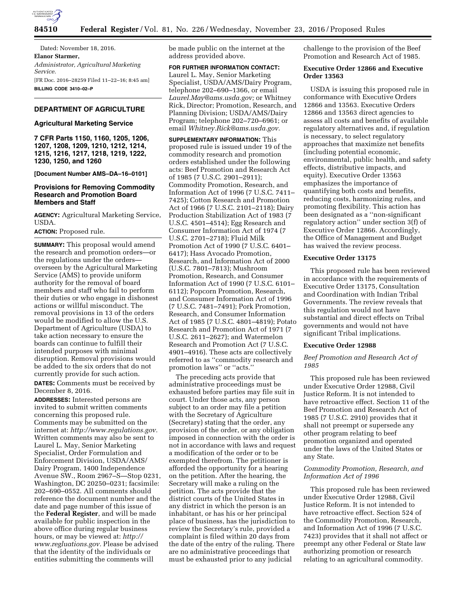

Dated: November 18, 2016. **Elanor Starmer,**  *Administrator, Agricultural Marketing Service.*  [FR Doc. 2016–28259 Filed 11–22–16; 8:45 am] **BILLING CODE 3410–02–P** 

# **DEPARTMENT OF AGRICULTURE**

#### **Agricultural Marketing Service**

**7 CFR Parts 1150, 1160, 1205, 1206, 1207, 1208, 1209, 1210, 1212, 1214, 1215, 1216, 1217, 1218, 1219, 1222, 1230, 1250, and 1260** 

### **[Document Number AMS–DA–16–0101]**

### **Provisions for Removing Commodity Research and Promotion Board Members and Staff**

**AGENCY:** Agricultural Marketing Service, USDA.

### **ACTION:** Proposed rule.

**SUMMARY:** This proposal would amend the research and promotion orders—or the regulations under the orders overseen by the Agricultural Marketing Service (AMS) to provide uniform authority for the removal of board members and staff who fail to perform their duties or who engage in dishonest actions or willful misconduct. The removal provisions in 13 of the orders would be modified to allow the U.S. Department of Agriculture (USDA) to take action necessary to ensure the boards can continue to fulfill their intended purposes with minimal disruption. Removal provisions would be added to the six orders that do not currently provide for such action.

**DATES:** Comments must be received by December 8, 2016.

**ADDRESSES:** Interested persons are invited to submit written comments concerning this proposed rule. Comments may be submitted on the internet at: *[http://www.regulations.gov.](http://www.regulations.gov)*  Written comments may also be sent to Laurel L. May, Senior Marketing Specialist, Order Formulation and Enforcement Division, USDA/AMS/ Dairy Program, 1400 Independence Avenue SW., Room 2967–S—Stop 0231, Washington, DC 20250–0231; facsimile: 202–690–0552. All comments should reference the document number and the date and page number of this issue of the **Federal Register**, and will be made available for public inspection in the above office during regular business hours, or may be viewed at: *[http://](http://www.regluations.gov) [www.regluations.gov.](http://www.regluations.gov)* Please be advised that the identity of the individuals or entities submitting the comments will

be made public on the internet at the address provided above.

**FOR FURTHER INFORMATION CONTACT:**  Laurel L. May, Senior Marketing Specialist, USDA/AMS/Dairy Program, telephone 202–690–1366, or email *[Laurel.May@ams.usda.gov;](mailto:Laurel.May@ams.usda.gov)* or Whitney Rick, Director; Promotion, Research, and Planning Division; USDA/AMS/Dairy Program; telephone 202–720–6961; or email *[Whitney.Rick@ams.usda.gov.](mailto:Whitney.Rick@ams.usda.gov)* 

**SUPPLEMENTARY INFORMATION:** This proposed rule is issued under 19 of the commodity research and promotion orders established under the following acts: Beef Promotion and Research Act of 1985 (7 U.S.C. 2901–2911); Commodity Promotion, Research, and Information Act of 1996 (7 U.S.C. 7411– 7425); Cotton Research and Promotion Act of 1966 (7 U.S.C. 2101–2118); Dairy Production Stabilization Act of 1983 (7 U.S.C. 4501–4514); Egg Research and Consumer Information Act of 1974 (7 U.S.C. 2701–2718); Fluid Milk Promotion Act of 1990 (7 U.S.C. 6401– 6417); Hass Avocado Promotion, Research, and Information Act of 2000 (U.S.C. 7801–7813); Mushroom Promotion, Research, and Consumer Information Act of 1990 (7 U.S.C. 6101– 6112); Popcorn Promotion, Research, and Consumer Information Act of 1996 (7 U.S.C. 7481–7491); Pork Promotion, Research, and Consumer Information Act of 1985 (7 U.S.C. 4801–4819); Potato Research and Promotion Act of 1971 (7 U.S.C. 2611–2627); and Watermelon Research and Promotion Act (7 U.S.C. 4901–4916). These acts are collectively referred to as ''commodity research and promotion laws'' or ''acts.''

The preceding acts provide that administrative proceedings must be exhausted before parties may file suit in court. Under those acts, any person subject to an order may file a petition with the Secretary of Agriculture (Secretary) stating that the order, any provision of the order, or any obligation imposed in connection with the order is not in accordance with laws and request a modification of the order or to be exempted therefrom. The petitioner is afforded the opportunity for a hearing on the petition. After the hearing, the Secretary will make a ruling on the petition. The acts provide that the district courts of the United States in any district in which the person is an inhabitant, or has his or her principal place of business, has the jurisdiction to review the Secretary's rule, provided a complaint is filed within 20 days from the date of the entry of the ruling. There are no administrative proceedings that must be exhausted prior to any judicial

challenge to the provision of the Beef Promotion and Research Act of 1985.

## **Executive Order 12866 and Executive Order 13563**

USDA is issuing this proposed rule in conformance with Executive Orders 12866 and 13563. Executive Orders 12866 and 13563 direct agencies to assess all costs and benefits of available regulatory alternatives and, if regulation is necessary, to select regulatory approaches that maximize net benefits (including potential economic, environmental, public health, and safety effects, distributive impacts, and equity). Executive Order 13563 emphasizes the importance of quantifying both costs and benefits, reducing costs, harmonizing rules, and promoting flexibility. This action has been designated as a ''non-significant regulatory action'' under section 3(f) of Executive Order 12866. Accordingly, the Office of Management and Budget has waived the review process.

### **Executive Order 13175**

This proposed rule has been reviewed in accordance with the requirements of Executive Order 13175, Consultation and Coordination with Indian Tribal Governments. The review reveals that this regulation would not have substantial and direct effects on Tribal governments and would not have significant Tribal implications.

#### **Executive Order 12988**

### *Beef Promotion and Research Act of 1985*

This proposed rule has been reviewed under Executive Order 12988, Civil Justice Reform. It is not intended to have retroactive effect. Section 11 of the Beef Promotion and Research Act of 1985 (7 U.S.C. 2910) provides that it shall not preempt or supersede any other program relating to beef promotion organized and operated under the laws of the United States or any State.

# *Commodity Promotion, Research, and Information Act of 1996*

This proposed rule has been reviewed under Executive Order 12988, Civil Justice Reform. It is not intended to have retroactive effect. Section 524 of the Commodity Promotion, Research, and Information Act of 1996 (7 U.S.C. 7423) provides that it shall not affect or preempt any other Federal or State law authorizing promotion or research relating to an agricultural commodity.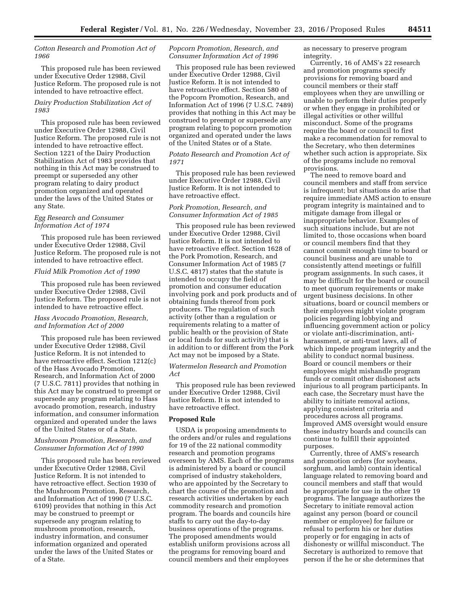# *Cotton Research and Promotion Act of 1966*

This proposed rule has been reviewed under Executive Order 12988, Civil Justice Reform. The proposed rule is not intended to have retroactive effect.

# *Dairy Production Stabilization Act of 1983*

This proposed rule has been reviewed under Executive Order 12988, Civil Justice Reform. The proposed rule is not intended to have retroactive effect. Section 1221 of the Dairy Production Stabilization Act of 1983 provides that nothing in this Act may be construed to preempt or superseded any other program relating to dairy product promotion organized and operated under the laws of the United States or any State.

### *Egg Research and Consumer Information Act of 1974*

This proposed rule has been reviewed under Executive Order 12988, Civil Justice Reform. The proposed rule is not intended to have retroactive effect.

#### *Fluid Milk Promotion Act of 1990*

This proposed rule has been reviewed under Executive Order 12988, Civil Justice Reform. The proposed rule is not intended to have retroactive effect.

# *Hass Avocado Promotion, Research, and Information Act of 2000*

This proposed rule has been reviewed under Executive Order 12988, Civil Justice Reform. It is not intended to have retroactive effect. Section 1212(c) of the Hass Avocado Promotion, Research, and Information Act of 2000 (7 U.S.C. 7811) provides that nothing in this Act may be construed to preempt or supersede any program relating to Hass avocado promotion, research, industry information, and consumer information organized and operated under the laws of the United States or of a State.

### *Mushroom Promotion, Research, and Consumer Information Act of 1990*

This proposed rule has been reviewed under Executive Order 12988, Civil Justice Reform. It is not intended to have retroactive effect. Section 1930 of the Mushroom Promotion, Research, and Information Act of 1990 (7 U.S.C. 6109) provides that nothing in this Act may be construed to preempt or supersede any program relating to mushroom promotion, research, industry information, and consumer information organized and operated under the laws of the United States or of a State.

### *Popcorn Promotion, Research, and Consumer Information Act of 1996*

This proposed rule has been reviewed under Executive Order 12988, Civil Justice Reform. It is not intended to have retroactive effect. Section 580 of the Popcorn Promotion, Research, and Information Act of 1996 (7 U.S.C. 7489) provides that nothing in this Act may be construed to preempt or supersede any program relating to popcorn promotion organized and operated under the laws of the United States or of a State.

### *Potato Research and Promotion Act of 1971*

This proposed rule has been reviewed under Executive Order 12988, Civil Justice Reform. It is not intended to have retroactive effect.

### *Pork Promotion, Research, and Consumer Information Act of 1985*

This proposed rule has been reviewed under Executive Order 12988, Civil Justice Reform. It is not intended to have retroactive effect. Section 1628 of the Pork Promotion, Research, and Consumer Information Act of 1985 (7 U.S.C. 4817) states that the statute is intended to occupy the field of promotion and consumer education involving pork and pork products and of obtaining funds thereof from pork producers. The regulation of such activity (other than a regulation or requirements relating to a matter of public health or the provision of State or local funds for such activity) that is in addition to or different from the Pork Act may not be imposed by a State.

### *Watermelon Research and Promotion Act*

This proposed rule has been reviewed under Executive Order 12988, Civil Justice Reform. It is not intended to have retroactive effect.

## **Proposed Rule**

USDA is proposing amendments to the orders and/or rules and regulations for 19 of the 22 national commodity research and promotion programs overseen by AMS. Each of the programs is administered by a board or council comprised of industry stakeholders, who are appointed by the Secretary to chart the course of the promotion and research activities undertaken by each commodity research and promotion program. The boards and councils hire staffs to carry out the day-to-day business operations of the programs. The proposed amendments would establish uniform provisions across all the programs for removing board and council members and their employees

as necessary to preserve program integrity.

Currently, 16 of AMS's 22 research and promotion programs specify provisions for removing board and council members or their staff employees when they are unwilling or unable to perform their duties properly or when they engage in prohibited or illegal activities or other willful misconduct. Some of the programs require the board or council to first make a recommendation for removal to the Secretary, who then determines whether such action is appropriate. Six of the programs include no removal provisions.

The need to remove board and council members and staff from service is infrequent; but situations do arise that require immediate AMS action to ensure program integrity is maintained and to mitigate damage from illegal or inappropriate behavior. Examples of such situations include, but are not limited to, those occasions when board or council members find that they cannot commit enough time to board or council business and are unable to consistently attend meetings or fulfill program assignments. In such cases, it may be difficult for the board or council to meet quorum requirements or make urgent business decisions. In other situations, board or council members or their employees might violate program policies regarding lobbying and influencing government action or policy or violate anti-discrimination, antiharassment, or anti-trust laws, all of which impede program integrity and the ability to conduct normal business. Board or council members or their employees might mishandle program funds or commit other dishonest acts injurious to all program participants. In each case, the Secretary must have the ability to initiate removal actions, applying consistent criteria and procedures across all programs. Improved AMS oversight would ensure these industry boards and councils can continue to fulfill their appointed purposes.

Currently, three of AMS's research and promotion orders (for soybeans, sorghum, and lamb) contain identical language related to removing board and council members and staff that would be appropriate for use in the other 19 programs. The language authorizes the Secretary to initiate removal action against any person (board or council member or employee) for failure or refusal to perform his or her duties properly or for engaging in acts of dishonesty or willful misconduct. The Secretary is authorized to remove that person if the he or she determines that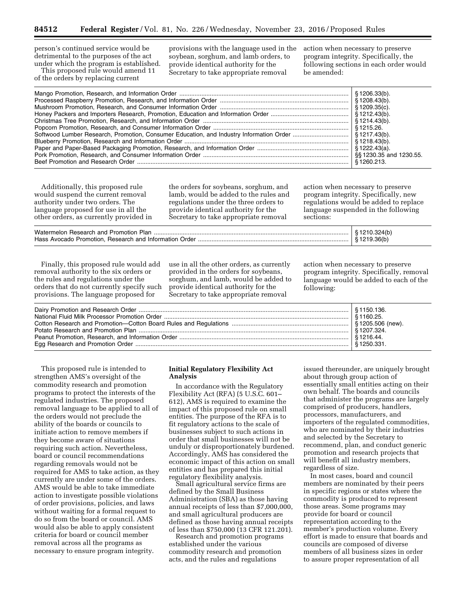person's continued service would be detrimental to the purposes of the act under which the program is established.

This proposed rule would amend 11 of the orders by replacing current

provisions with the language used in the soybean, sorghum, and lamb orders, to provide identical authority for the Secretary to take appropriate removal

action when necessary to preserve program integrity. Specifically, the following sections in each order would be amended:

Additionally, this proposed rule would suspend the current removal authority under two orders. The language proposed for use in all the other orders, as currently provided in the orders for soybeans, sorghum, and lamb, would be added to the rules and regulations under the three orders to provide identical authority for the Secretary to take appropriate removal

action when necessary to preserve program integrity. Specifically, new regulations would be added to replace language suspended in the following sections:

|                                                        | \$1210.324(b)              |
|--------------------------------------------------------|----------------------------|
| Hass Avocado Promotion. Research and Information Order | $\frac{1}{2}$ \$1219.36(b) |
|                                                        |                            |

Finally, this proposed rule would add removal authority to the six orders or the rules and regulations under the orders that do not currently specify such provisions. The language proposed for

use in all the other orders, as currently provided in the orders for soybeans, sorghum, and lamb, would be added to provide identical authority for the Secretary to take appropriate removal

action when necessary to preserve program integrity. Specifically, removal language would be added to each of the following:

This proposed rule is intended to strengthen AMS's oversight of the commodity research and promotion programs to protect the interests of the regulated industries. The proposed removal language to be applied to all of the orders would not preclude the ability of the boards or councils to initiate action to remove members if they become aware of situations requiring such action. Nevertheless, board or council recommendations regarding removals would not be required for AMS to take action, as they currently are under some of the orders. AMS would be able to take immediate action to investigate possible violations of order provisions, policies, and laws without waiting for a formal request to do so from the board or council. AMS would also be able to apply consistent criteria for board or council member removal across all the programs as necessary to ensure program integrity.

# **Initial Regulatory Flexibility Act Analysis**

In accordance with the Regulatory Flexibility Act (RFA) (5 U.S.C. 601– 612), AMS is required to examine the impact of this proposed rule on small entities. The purpose of the RFA is to fit regulatory actions to the scale of businesses subject to such actions in order that small businesses will not be unduly or disproportionately burdened. Accordingly, AMS has considered the economic impact of this action on small entities and has prepared this initial regulatory flexibility analysis.

Small agricultural service firms are defined by the Small Business Administration (SBA) as those having annual receipts of less than \$7,000,000, and small agricultural producers are defined as those having annual receipts of less than \$750,000 (13 CFR 121.201).

Research and promotion programs established under the various commodity research and promotion acts, and the rules and regulations

issued thereunder, are uniquely brought about through group action of essentially small entities acting on their own behalf. The boards and councils that administer the programs are largely comprised of producers, handlers, processors, manufacturers, and importers of the regulated commodities, who are nominated by their industries and selected by the Secretary to recommend, plan, and conduct generic promotion and research projects that will benefit all industry members, regardless of size.

In most cases, board and council members are nominated by their peers in specific regions or states where the commodity is produced to represent those areas. Some programs may provide for board or council representation according to the member's production volume. Every effort is made to ensure that boards and councils are composed of diverse members of all business sizes in order to assure proper representation of all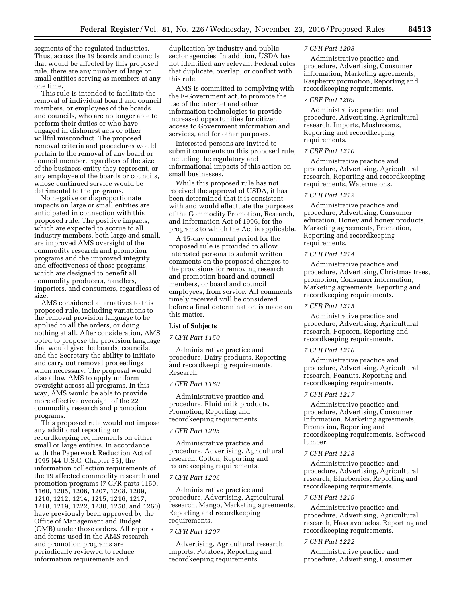segments of the regulated industries. Thus, across the 19 boards and councils that would be affected by this proposed rule, there are any number of large or small entities serving as members at any one time.

This rule is intended to facilitate the removal of individual board and council members, or employees of the boards and councils, who are no longer able to perform their duties or who have engaged in dishonest acts or other willful misconduct. The proposed removal criteria and procedures would pertain to the removal of any board or council member, regardless of the size of the business entity they represent, or any employee of the boards or councils, whose continued service would be detrimental to the programs.

No negative or disproportionate impacts on large or small entities are anticipated in connection with this proposed rule. The positive impacts, which are expected to accrue to all industry members, both large and small, are improved AMS oversight of the commodity research and promotion programs and the improved integrity and effectiveness of those programs, which are designed to benefit all commodity producers, handlers, importers, and consumers, regardless of size.

AMS considered alternatives to this proposed rule, including variations to the removal provision language to be applied to all the orders, or doing nothing at all. After consideration, AMS opted to propose the provision language that would give the boards, councils, and the Secretary the ability to initiate and carry out removal proceedings when necessary. The proposal would also allow AMS to apply uniform oversight across all programs. In this way, AMS would be able to provide more effective oversight of the 22 commodity research and promotion programs.

This proposed rule would not impose any additional reporting or recordkeeping requirements on either small or large entities. In accordance with the Paperwork Reduction Act of 1995 (44 U.S.C. Chapter 35), the information collection requirements of the 19 affected commodity research and promotion programs (7 CFR parts 1150, 1160, 1205, 1206, 1207, 1208, 1209, 1210, 1212, 1214, 1215, 1216, 1217, 1218, 1219, 1222, 1230, 1250, and 1260) have previously been approved by the Office of Management and Budget (OMB) under those orders. All reports and forms used in the AMS research and promotion programs are periodically reviewed to reduce information requirements and

duplication by industry and public sector agencies. In addition, USDA has not identified any relevant Federal rules that duplicate, overlap, or conflict with this rule.

AMS is committed to complying with the E-Government act, to promote the use of the internet and other information technologies to provide increased opportunities for citizen access to Government information and services, and for other purposes.

Interested persons are invited to submit comments on this proposed rule, including the regulatory and informational impacts of this action on small businesses.

While this proposed rule has not received the approval of USDA, it has been determined that it is consistent with and would effectuate the purposes of the Commodity Promotion, Research, and Information Act of 1996, for the programs to which the Act is applicable.

A 15-day comment period for the proposed rule is provided to allow interested persons to submit written comments on the proposed changes to the provisions for removing research and promotion board and council members, or board and council employees, from service. All comments timely received will be considered before a final determination is made on this matter.

### **List of Subjects**

## *7 CFR Part 1150*

Administrative practice and procedure, Dairy products, Reporting and recordkeeping requirements, Research.

### *7 CFR Part 1160*

Administrative practice and procedure, Fluid milk products, Promotion, Reporting and recordkeeping requirements.

### *7 CFR Part 1205*

Administrative practice and procedure, Advertising, Agricultural research, Cotton, Reporting and recordkeeping requirements.

### *7 CFR Part 1206*

Administrative practice and procedure, Advertising, Agricultural research, Mango, Marketing agreements, Reporting and recordkeeping requirements.

#### *7 CFR Part 1207*

Advertising, Agricultural research, Imports, Potatoes, Reporting and recordkeeping requirements.

### *7 CFR Part 1208*

Administrative practice and procedure, Advertising, Consumer information, Marketing agreements, Raspberry promotion, Reporting and recordkeeping requirements.

#### *7 CRF Part 1209*

Administrative practice and procedure, Advertising, Agricultural research, Imports, Mushrooms, Reporting and recordkeeping requirements.

#### *7 CRF Part 1210*

Administrative practice and procedure, Advertising, Agricultural research, Reporting and recordkeeping requirements, Watermelons.

### *7 CFR Part 1212*

Administrative practice and procedure, Advertising, Consumer education, Honey and honey products, Marketing agreements, Promotion, Reporting and recordkeeping requirements.

### *7 CFR Part 1214*

Administrative practice and procedure, Advertising, Christmas trees, promotion, Consumer information, Marketing agreements, Reporting and recordkeeping requirements.

#### *7 CFR Part 1215*

Administrative practice and procedure, Advertising, Agricultural research, Popcorn, Reporting and recordkeeping requirements.

### *7 CFR Part 1216*

Administrative practice and procedure, Advertising, Agricultural research, Peanuts, Reporting and recordkeeping requirements.

### *7 CFR Part 1217*

Administrative practice and procedure, Advertising, Consumer Information, Marketing agreements, Promotion, Reporting and recordkeeping requirements, Softwood lumber.

### *7 CFR Part 1218*

Administrative practice and procedure, Advertising, Agricultural research, Blueberries, Reporting and recordkeeping requirements.

### *7 CFR Part 1219*

Administrative practice and procedure, Advertising, Agricultural research, Hass avocados, Reporting and recordkeeping requirements.

## *7 CFR Part 1222*

Administrative practice and procedure, Advertising, Consumer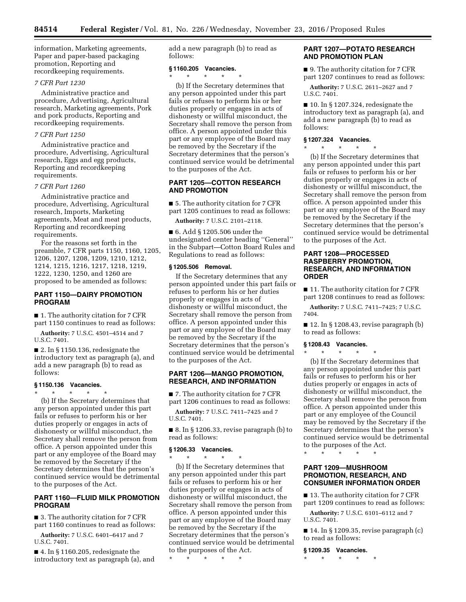information, Marketing agreements, Paper and paper-based packaging promotion, Reporting and recordkeeping requirements.

# *7 CFR Part 1230*

Administrative practice and procedure, Advertising, Agricultural research, Marketing agreements, Pork and pork products, Reporting and recordkeeping requirements.

### *7 CFR Part 1250*

Administrative practice and procedure, Advertising, Agricultural research, Eggs and egg products, Reporting and recordkeeping requirements.

### *7 CFR Part 1260*

Administrative practice and procedure, Advertising, Agricultural research, Imports, Marketing agreements, Meat and meat products, Reporting and recordkeeping requirements.

For the reasons set forth in the preamble, 7 CFR parts 1150, 1160, 1205, 1206, 1207, 1208, 1209, 1210, 1212, 1214, 1215, 1216, 1217, 1218, 1219, 1222, 1230, 1250, and 1260 are proposed to be amended as follows:

## **PART 1150—DAIRY PROMOTION PROGRAM**

■ 1. The authority citation for 7 CFR part 1150 continues to read as follows:

**Authority:** 7 U.S.C. 4501–4514 and 7 U.S.C. 7401.

■ 2. In § 1150.136, redesignate the introductory text as paragraph (a), and add a new paragraph (b) to read as follows:

### **§ 1150.136 Vacancies.**

\* \* \* \* \*

(b) If the Secretary determines that any person appointed under this part fails or refuses to perform his or her duties properly or engages in acts of dishonesty or willful misconduct, the Secretary shall remove the person from office. A person appointed under this part or any employee of the Board may be removed by the Secretary if the Secretary determines that the person's continued service would be detrimental to the purposes of the Act.

# **PART 1160—FLUID MILK PROMOTION PROGRAM**

■ 3. The authority citation for 7 CFR part 1160 continues to read as follows:

**Authority:** 7 U.S.C. 6401–6417 and 7 U.S.C. 7401.

■ 4. In § 1160.205, redesignate the introductory text as paragraph (a), and add a new paragraph (b) to read as follows:

### **§ 1160.205 Vacancies.**

 $\star$   $\star$   $\star$ 

(b) If the Secretary determines that any person appointed under this part fails or refuses to perform his or her duties properly or engages in acts of dishonesty or willful misconduct, the Secretary shall remove the person from office. A person appointed under this part or any employee of the Board may be removed by the Secretary if the Secretary determines that the person's continued service would be detrimental to the purposes of the Act.

# **PART 1205—COTTON RESEARCH AND PROMOTION**

■ 5. The authority citation for 7 CFR part 1205 continues to read as follows:

**Authority:** 7 U.S.C. 2101–2118.

■ 6. Add § 1205.506 under the undesignated center heading ''General'' in the Subpart—Cotton Board Rules and Regulations to read as follows:

### **§ 1205.506 Removal.**

If the Secretary determines that any person appointed under this part fails or refuses to perform his or her duties properly or engages in acts of dishonesty or willful misconduct, the Secretary shall remove the person from office. A person appointed under this part or any employee of the Board may be removed by the Secretary if the Secretary determines that the person's continued service would be detrimental to the purposes of the Act.

# **PART 1206—MANGO PROMOTION, RESEARCH, AND INFORMATION**

■ 7. The authority citation for 7 CFR part 1206 continues to read as follows:

**Authority:** 7 U.S.C. 7411–7425 and 7 U.S.C. 7401.

■ 8. In § 1206.33, revise paragraph (b) to read as follows:

### **§ 1206.33 Vacancies.**

\* \* \* \* \*

(b) If the Secretary determines that any person appointed under this part fails or refuses to perform his or her duties properly or engages in acts of dishonesty or willful misconduct, the Secretary shall remove the person from office. A person appointed under this part or any employee of the Board may be removed by the Secretary if the Secretary determines that the person's continued service would be detrimental to the purposes of the Act.

\* \* \* \* \*

# **PART 1207—POTATO RESEARCH AND PROMOTION PLAN**

■ 9. The authority citation for 7 CFR part 1207 continues to read as follows:

**Authority:** 7 U.S.C. 2611–2627 and 7 U.S.C. 7401.

■ 10. In § 1207.324, redesignate the introductory text as paragraph (a), and add a new paragraph (b) to read as follows:

### **§ 1207.324 Vacancies.**  \* \* \* \* \*

(b) If the Secretary determines that any person appointed under this part fails or refuses to perform his or her duties properly or engages in acts of dishonesty or willful misconduct, the Secretary shall remove the person from office. A person appointed under this part or any employee of the Board may be removed by the Secretary if the Secretary determines that the person's continued service would be detrimental to the purposes of the Act.

# **PART 1208—PROCESSED RASPBERRY PROMOTION, RESEARCH, AND INFORMATION ORDER**

■ 11. The authority citation for 7 CFR part 1208 continues to read as follows:

**Authority:** 7 U.S.C. 7411–7425; 7 U.S.C. 7404.

 $\blacksquare$  12. In § 1208.43, revise paragraph (b) to read as follows:

### **§ 1208.43 Vacancies.**  \* \* \* \* \*

(b) If the Secretary determines that any person appointed under this part fails or refuses to perform his or her duties properly or engages in acts of dishonesty or willful misconduct, the Secretary shall remove the person from office. A person appointed under this part or any employee of the Council may be removed by the Secretary if the Secretary determines that the person's continued service would be detrimental to the purposes of the Act.

\* \* \* \* \*

# **PART 1209—MUSHROOM PROMOTION, RESEARCH, AND CONSUMER INFORMATION ORDER**

■ 13. The authority citation for 7 CFR part 1209 continues to read as follows:

**Authority:** 7 U.S.C. 6101–6112 and 7 U.S.C. 7401.

■ 14. In § 1209.35, revise paragraph (c) to read as follows:

**§ 1209.35 Vacancies.** 

\* \* \* \* \*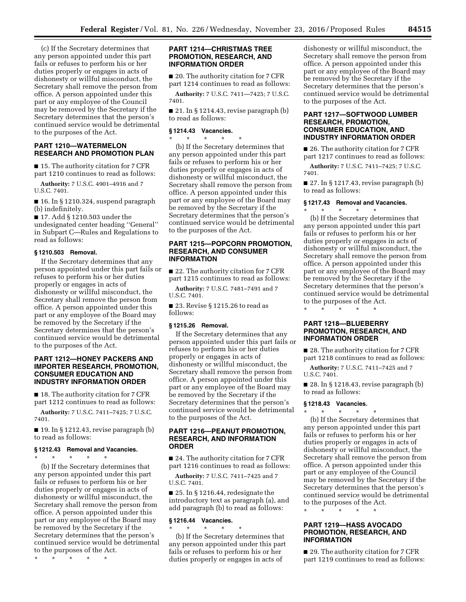(c) If the Secretary determines that any person appointed under this part fails or refuses to perform his or her duties properly or engages in acts of dishonesty or willful misconduct, the Secretary shall remove the person from office. A person appointed under this part or any employee of the Council may be removed by the Secretary if the Secretary determines that the person's continued service would be detrimental to the purposes of the Act.

# **PART 1210—WATERMELON RESEARCH AND PROMOTION PLAN**

■ 15. The authority citation for 7 CFR part 1210 continues to read as follows:

**Authority:** 7 U.S.C. 4901–4916 and 7 U.S.C. 7401.

■ 16. In § 1210.324, suspend paragraph (b) indefinitely.

■ 17. Add § 1210.503 under the undesignated center heading ''General'' in Subpart C—Rules and Regulations to read as follows:

### **§ 1210.503 Removal.**

If the Secretary determines that any person appointed under this part fails or refuses to perform his or her duties properly or engages in acts of dishonesty or willful misconduct, the Secretary shall remove the person from office. A person appointed under this part or any employee of the Board may be removed by the Secretary if the Secretary determines that the person's continued service would be detrimental to the purposes of the Act.

## **PART 1212—HONEY PACKERS AND IMPORTER RESEARCH, PROMOTION, CONSUMER EDUCATION AND INDUSTRY INFORMATION ORDER**

■ 18. The authority citation for 7 CFR part 1212 continues to read as follows:

**Authority:** 7 U.S.C. 7411–7425; 7 U.S.C. 7401.

■ 19. In § 1212.43, revise paragraph (b) to read as follows:

### **§ 1212.43 Removal and Vacancies.**

\* \* \* \* \* (b) If the Secretary determines that any person appointed under this part fails or refuses to perform his or her duties properly or engages in acts of dishonesty or willful misconduct, the Secretary shall remove the person from office. A person appointed under this part or any employee of the Board may be removed by the Secretary if the Secretary determines that the person's continued service would be detrimental to the purposes of the Act.

\* \* \* \* \*

### **PART 1214—CHRISTMAS TREE PROMOTION, RESEARCH, AND INFORMATION ORDER**

■ 20. The authority citation for 7 CFR part 1214 continues to read as follows:

**Authority:** 7 U.S.C. 7411—7425; 7 U.S.C. 7401.

■ 21. In § 1214.43, revise paragraph (b) to read as follows:

### **§ 1214.43 Vacancies.**

\* \* \* \* \*

(b) If the Secretary determines that any person appointed under this part fails or refuses to perform his or her duties properly or engages in acts of dishonesty or willful misconduct, the Secretary shall remove the person from office. A person appointed under this part or any employee of the Board may be removed by the Secretary if the Secretary determines that the person's continued service would be detrimental to the purposes of the Act.

# **PART 1215—POPCORN PROMOTION, RESEARCH, AND CONSUMER INFORMATION**

■ 22. The authority citation for 7 CFR part 1215 continues to read as follows:

**Authority:** 7 U.S.C. 7481–7491 and 7 U.S.C. 7401.

■ 23. Revise § 1215.26 to read as follows:

# **§ 1215.26 Removal.**

If the Secretary determines that any person appointed under this part fails or refuses to perform his or her duties properly or engages in acts of dishonesty or willful misconduct, the Secretary shall remove the person from office. A person appointed under this part or any employee of the Board may be removed by the Secretary if the Secretary determines that the person's continued service would be detrimental to the purposes of the Act.

# **PART 1216—PEANUT PROMOTION, RESEARCH, AND INFORMATION ORDER**

■ 24. The authority citation for 7 CFR part 1216 continues to read as follows:

**Authority:** 7 U.S.C. 7411–7425 and 7 U.S.C. 7401.

■ 25. In § 1216.44, redesignate the introductory text as paragraph (a), and add paragraph (b) to read as follows:

### **§ 1216.44 Vacancies.**   $\star$   $\star$   $\star$

(b) If the Secretary determines that any person appointed under this part fails or refuses to perform his or her duties properly or engages in acts of

dishonesty or willful misconduct, the Secretary shall remove the person from office. A person appointed under this part or any employee of the Board may be removed by the Secretary if the Secretary determines that the person's continued service would be detrimental to the purposes of the Act.

# **PART 1217—SOFTWOOD LUMBER RESEARCH, PROMOTION, CONSUMER EDUCATION, AND INDUSTRY INFORMATION ORDER**

■ 26. The authority citation for 7 CFR part 1217 continues to read as follows:

**Authority:** 7 U.S.C. 7411–7425; 7 U.S.C. 7401.

■ 27. In § 1217.43, revise paragraph (b) to read as follows:

#### **§ 1217.43 Removal and Vacancies.**

\* \* \* \* \* (b) If the Secretary determines that any person appointed under this part fails or refuses to perform his or her duties properly or engages in acts of dishonesty or willful misconduct, the Secretary shall remove the person from office. A person appointed under this part or any employee of the Board may be removed by the Secretary if the Secretary determines that the person's continued service would be detrimental to the purposes of the Act.

\* \* \* \* \*

# **PART 1218—BLUEBERRY PROMOTION, RESEARCH, AND INFORMATION ORDER**

■ 28. The authority citation for 7 CFR part 1218 continues to read as follows:

**Authority:** 7 U.S.C. 7411–7425 and 7 U.S.C. 7401.

■ 28. In § 1218.43, revise paragraph (b) to read as follows:

### **§ 1218.43 Vacancies.**

\* \* \* \* \* (b) If the Secretary determines that any person appointed under this part fails or refuses to perform his or her duties properly or engages in acts of dishonesty or willful misconduct, the Secretary shall remove the person from office. A person appointed under this part or any employee of the Council may be removed by the Secretary if the Secretary determines that the person's continued service would be detrimental to the purposes of the Act.

\* \* \* \* \*

# **PART 1219—HASS AVOCADO PROMOTION, RESEARCH, AND INFORMATION**

■ 29. The authority citation for 7 CFR part 1219 continues to read as follows: